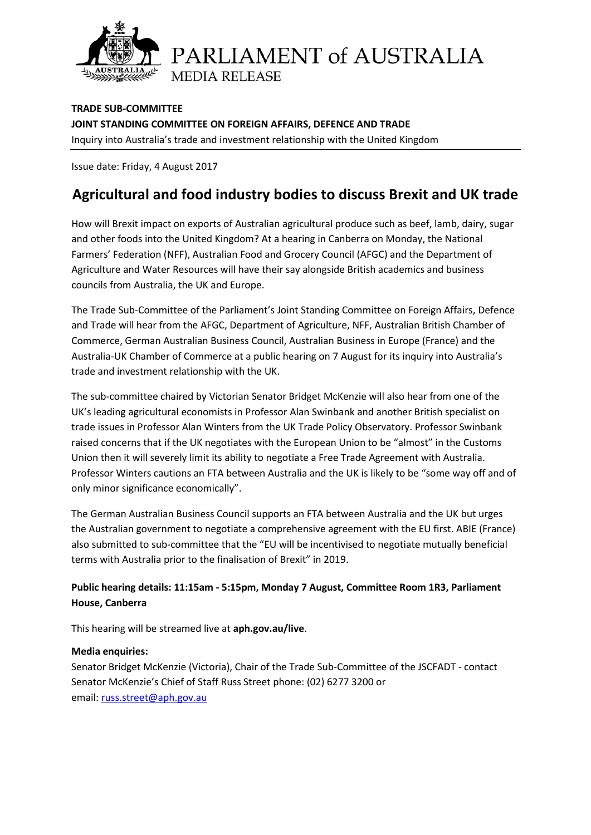

PARLIAMENT of AUSTRALIA **MEDIA RELEASE** 

**TRADE SUB-COMMITTEE JOINT STANDING COMMITTEE ON FOREIGN AFFAIRS, DEFENCE AND TRADE** Inquiry into Australia's trade and investment relationship with the United Kingdom

Issue date: Friday, 4 August 2017

## **Agricultural and food industry bodies to discuss Brexit and UK trade**

How will Brexit impact on exports of Australian agricultural produce such as beef, lamb, dairy, sugar and other foods into the United Kingdom? At a hearing in Canberra on Monday, the National Farmers' Federation (NFF), Australian Food and Grocery Council (AFGC) and the Department of Agriculture and Water Resources will have their say alongside British academics and business councils from Australia, the UK and Europe.

The Trade Sub-Committee of the Parliament's Joint Standing Committee on Foreign Affairs, Defence and Trade will hear from the AFGC, Department of Agriculture, NFF, Australian British Chamber of Commerce, German Australian Business Council, Australian Business in Europe (France) and the Australia-UK Chamber of Commerce at a public hearing on 7 August for its inquiry into Australia's trade and investment relationship with the UK.

The sub-committee chaired by Victorian Senator Bridget McKenzie will also hear from one of the UK's leading agricultural economists in Professor Alan Swinbank and another British specialist on trade issues in Professor Alan Winters from the UK Trade Policy Observatory. Professor Swinbank raised concerns that if the UK negotiates with the European Union to be "almost" in the Customs Union then it will severely limit its ability to negotiate a Free Trade Agreement with Australia. Professor Winters cautions an FTA between Australia and the UK is likely to be "some way off and of only minor significance economically".

The German Australian Business Council supports an FTA between Australia and the UK but urges the Australian government to negotiate a comprehensive agreement with the EU first. ABIE (France) also submitted to sub-committee that the "EU will be incentivised to negotiate mutually beneficial terms with Australia prior to the finalisation of Brexit" in 2019.

## **Public hearing details: 11:15am - 5:15pm, Monday 7 August, Committee Room 1R3, Parliament House, Canberra**

This hearing will be streamed live at **[aph.gov.au/live](http://houseofrepresentatives.cmail20.com/t/d-l-hhujtly-yduitjiri-h/)**.

## **Media enquiries:**

Senator Bridget McKenzie (Victoria), Chair of the Trade Sub-Committee of the JSCFADT - contact Senator McKenzie's Chief of Staff Russ Street phone: (02) 6277 3200 or email: [russ.street@aph.gov.au](mailto:russ.street@aph.gov.au)